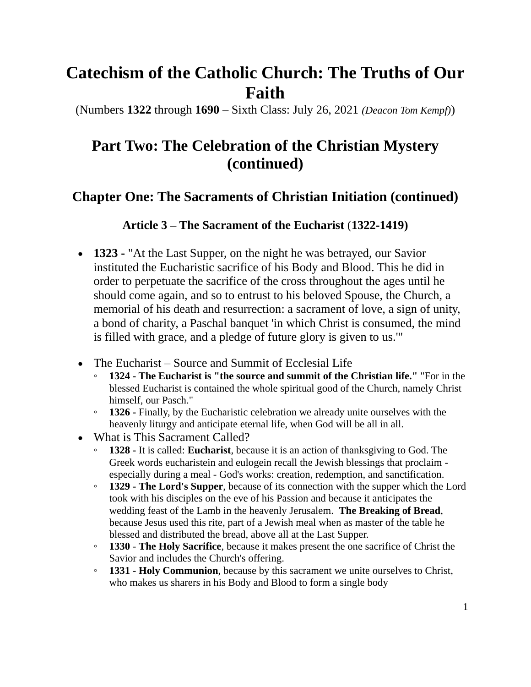# **Catechism of the Catholic Church: The Truths of Our Faith**

(Numbers **1322** through **1690** – Sixth Class: July 26, 2021 *(Deacon Tom Kempf)*)

## **Part Two: The Celebration of the Christian Mystery (continued)**

## **Chapter One: The Sacraments of Christian Initiation (continued)**

#### **Article 3 – The Sacrament of the Eucharist** (**1322-1419)**

- **1323 -** "At the Last Supper, on the night he was betrayed, our Savior instituted the Eucharistic sacrifice of his Body and Blood. This he did in order to perpetuate the sacrifice of the cross throughout the ages until he should come again, and so to entrust to his beloved Spouse, the Church, a memorial of his death and resurrection: a sacrament of love, a sign of unity, a bond of charity, a Paschal banquet 'in which Christ is consumed, the mind is filled with grace, and a pledge of future glory is given to us.'"
- The Eucharist Source and Summit of Ecclesial Life
	- **1324 - The Eucharist is "the source and summit of the Christian life."** "For in the blessed Eucharist is contained the whole spiritual good of the Church, namely Christ himself, our Pasch."
	- **1326 -** Finally, by the Eucharistic celebration we already unite ourselves with the heavenly liturgy and anticipate eternal life, when God will be all in all.
- What is This Sacrament Called?
	- **1328 -** It is called: **Eucharist**, because it is an action of thanksgiving to God. The Greek words eucharistein and eulogein recall the Jewish blessings that proclaim especially during a meal - God's works: creation, redemption, and sanctification.
	- **1329 - The Lord's Supper**, because of its connection with the supper which the Lord took with his disciples on the eve of his Passion and because it anticipates the wedding feast of the Lamb in the heavenly Jerusalem. **The Breaking of Bread**, because Jesus used this rite, part of a Jewish meal when as master of the table he blessed and distributed the bread, above all at the Last Supper.
	- **1330 The Holy Sacrifice**, because it makes present the one sacrifice of Christ the Savior and includes the Church's offering.
	- **1331 Holy Communion**, because by this sacrament we unite ourselves to Christ, who makes us sharers in his Body and Blood to form a single body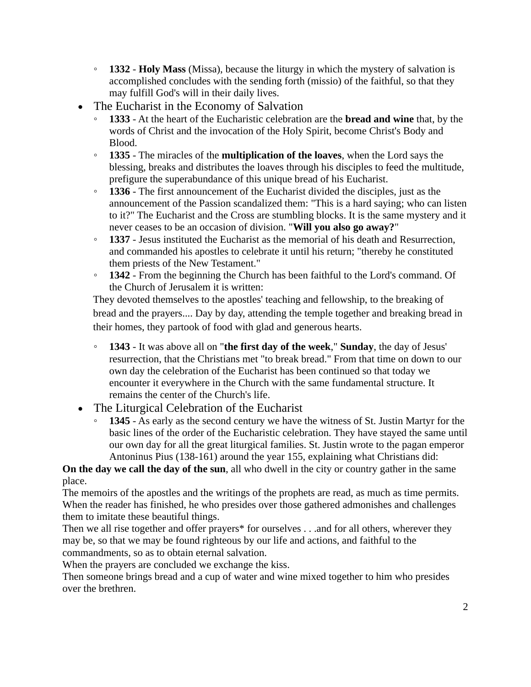- **1332 Holy Mass** (Missa), because the liturgy in which the mystery of salvation is accomplished concludes with the sending forth (missio) of the faithful, so that they may fulfill God's will in their daily lives.
- The Eucharist in the Economy of Salvation
	- **1333** At the heart of the Eucharistic celebration are the **bread and wine** that, by the words of Christ and the invocation of the Holy Spirit, become Christ's Body and Blood.
	- **1335** The miracles of the **multiplication of the loaves**, when the Lord says the blessing, breaks and distributes the loaves through his disciples to feed the multitude, prefigure the superabundance of this unique bread of his Eucharist.
	- **1336** The first announcement of the Eucharist divided the disciples, just as the announcement of the Passion scandalized them: "This is a hard saying; who can listen to it?" The Eucharist and the Cross are stumbling blocks. It is the same mystery and it never ceases to be an occasion of division. "**Will you also go away?**"
	- **1337** Jesus instituted the Eucharist as the memorial of his death and Resurrection, and commanded his apostles to celebrate it until his return; "thereby he constituted them priests of the New Testament."
	- **1342** From the beginning the Church has been faithful to the Lord's command. Of the Church of Jerusalem it is written:

They devoted themselves to the apostles' teaching and fellowship, to the breaking of bread and the prayers.... Day by day, attending the temple together and breaking bread in their homes, they partook of food with glad and generous hearts.

- **1343** It was above all on "**the first day of the week**," **Sunday**, the day of Jesus' resurrection, that the Christians met "to break bread." From that time on down to our own day the celebration of the Eucharist has been continued so that today we encounter it everywhere in the Church with the same fundamental structure. It remains the center of the Church's life.
- The Liturgical Celebration of the Eucharist
	- **1345** As early as the second century we have the witness of St. Justin Martyr for the basic lines of the order of the Eucharistic celebration. They have stayed the same until our own day for all the great liturgical families. St. Justin wrote to the pagan emperor Antoninus Pius (138-161) around the year 155, explaining what Christians did:

**On the day we call the day of the sun**, all who dwell in the city or country gather in the same place.

The memoirs of the apostles and the writings of the prophets are read, as much as time permits. When the reader has finished, he who presides over those gathered admonishes and challenges them to imitate these beautiful things.

Then we all rise together and offer prayers\* for ourselves . . .and for all others, wherever they may be, so that we may be found righteous by our life and actions, and faithful to the commandments, so as to obtain eternal salvation.

When the prayers are concluded we exchange the kiss.

Then someone brings bread and a cup of water and wine mixed together to him who presides over the brethren.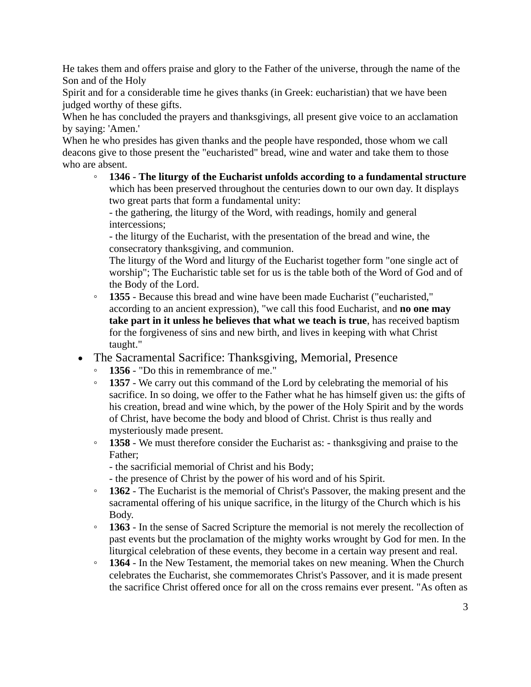He takes them and offers praise and glory to the Father of the universe, through the name of the Son and of the Holy

Spirit and for a considerable time he gives thanks (in Greek: eucharistian) that we have been judged worthy of these gifts.

When he has concluded the prayers and thanksgivings, all present give voice to an acclamation by saying: 'Amen.'

When he who presides has given thanks and the people have responded, those whom we call deacons give to those present the "eucharisted" bread, wine and water and take them to those who are absent.

◦ **1346** - **The liturgy of the Eucharist unfolds according to a fundamental structure** which has been preserved throughout the centuries down to our own day. It displays two great parts that form a fundamental unity:

- the gathering, the liturgy of the Word, with readings, homily and general intercessions;

- the liturgy of the Eucharist, with the presentation of the bread and wine, the consecratory thanksgiving, and communion.

The liturgy of the Word and liturgy of the Eucharist together form "one single act of worship"; The Eucharistic table set for us is the table both of the Word of God and of the Body of the Lord.

- **1355** Because this bread and wine have been made Eucharist ("eucharisted," according to an ancient expression), "we call this food Eucharist, and **no one may take part in it unless he believes that what we teach is true**, has received baptism for the forgiveness of sins and new birth, and lives in keeping with what Christ taught."
- The Sacramental Sacrifice: Thanksgiving, Memorial, Presence
	- **1356** "Do this in remembrance of me."
	- **1357** We carry out this command of the Lord by celebrating the memorial of his sacrifice. In so doing, we offer to the Father what he has himself given us: the gifts of his creation, bread and wine which, by the power of the Holy Spirit and by the words of Christ, have become the body and blood of Christ. Christ is thus really and mysteriously made present.
	- **1358** We must therefore consider the Eucharist as: thanksgiving and praise to the Father;
		- the sacrificial memorial of Christ and his Body;
		- the presence of Christ by the power of his word and of his Spirit.
	- **1362** The Eucharist is the memorial of Christ's Passover, the making present and the sacramental offering of his unique sacrifice, in the liturgy of the Church which is his Body.
	- **1363** In the sense of Sacred Scripture the memorial is not merely the recollection of past events but the proclamation of the mighty works wrought by God for men. In the liturgical celebration of these events, they become in a certain way present and real.
	- **1364** In the New Testament, the memorial takes on new meaning. When the Church celebrates the Eucharist, she commemorates Christ's Passover, and it is made present the sacrifice Christ offered once for all on the cross remains ever present. "As often as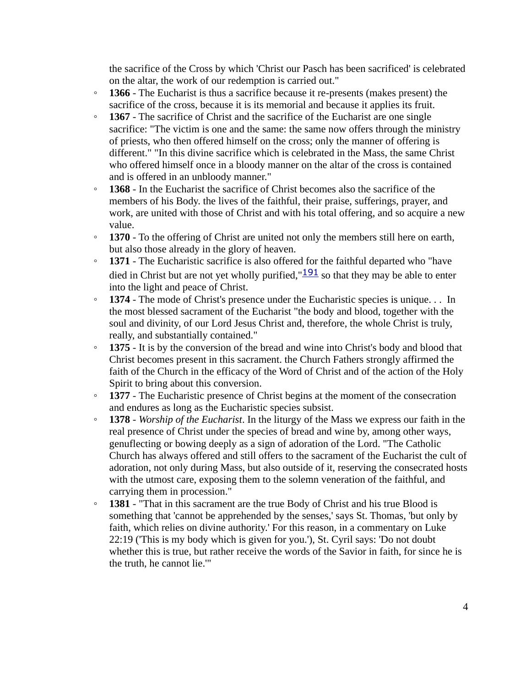the sacrifice of the Cross by which 'Christ our Pasch has been sacrificed' is celebrated on the altar, the work of our redemption is carried out."

- **1366** The Eucharist is thus a sacrifice because it re-presents (makes present) the sacrifice of the cross, because it is its memorial and because it applies its fruit.
- **1367** The sacrifice of Christ and the sacrifice of the Eucharist are one single sacrifice: "The victim is one and the same: the same now offers through the ministry of priests, who then offered himself on the cross; only the manner of offering is different." "In this divine sacrifice which is celebrated in the Mass, the same Christ who offered himself once in a bloody manner on the altar of the cross is contained and is offered in an unbloody manner."
- **1368** In the Eucharist the sacrifice of Christ becomes also the sacrifice of the members of his Body. the lives of the faithful, their praise, sufferings, prayer, and work, are united with those of Christ and with his total offering, and so acquire a new value.
- **1370** To the offering of Christ are united not only the members still here on earth, but also those already in the glory of heaven.
- **1371** The Eucharistic sacrifice is also offered for the faithful departed who "have died in Christ but are not yet wholly purified,  $\frac{191}{191}$  $\frac{191}{191}$  $\frac{191}{191}$  so that they may be able to enter into the light and peace of Christ.
- **1374** The mode of Christ's presence under the Eucharistic species is unique. . . In the most blessed sacrament of the Eucharist "the body and blood, together with the soul and divinity, of our Lord Jesus Christ and, therefore, the whole Christ is truly, really, and substantially contained."
- **1375** It is by the conversion of the bread and wine into Christ's body and blood that Christ becomes present in this sacrament. the Church Fathers strongly affirmed the faith of the Church in the efficacy of the Word of Christ and of the action of the Holy Spirit to bring about this conversion.
- **1377** The Eucharistic presence of Christ begins at the moment of the consecration and endures as long as the Eucharistic species subsist.
- **1378** *Worship of the Eucharist*. In the liturgy of the Mass we express our faith in the real presence of Christ under the species of bread and wine by, among other ways, genuflecting or bowing deeply as a sign of adoration of the Lord. "The Catholic Church has always offered and still offers to the sacrament of the Eucharist the cult of adoration, not only during Mass, but also outside of it, reserving the consecrated hosts with the utmost care, exposing them to the solemn veneration of the faithful, and carrying them in procession."
- **1381** "That in this sacrament are the true Body of Christ and his true Blood is something that 'cannot be apprehended by the senses,' says St. Thomas, 'but only by faith, which relies on divine authority.' For this reason, in a commentary on Luke 22:19 ('This is my body which is given for you.'), St. Cyril says: 'Do not doubt whether this is true, but rather receive the words of the Savior in faith, for since he is the truth, he cannot lie.'"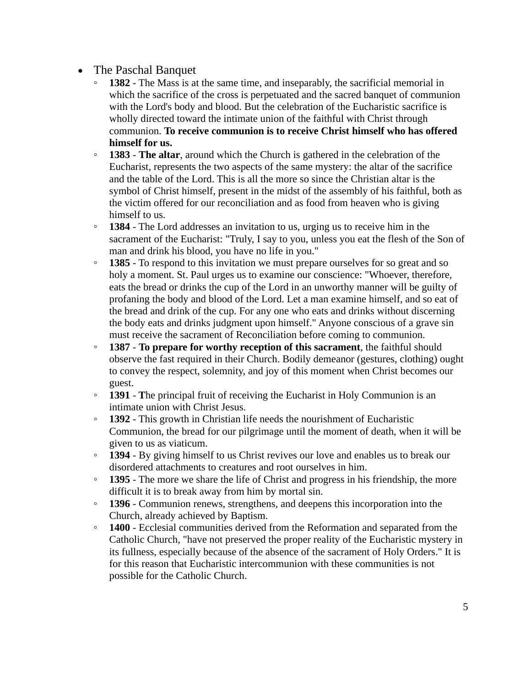#### • The Paschal Banquet

- **1382** The Mass is at the same time, and inseparably, the sacrificial memorial in which the sacrifice of the cross is perpetuated and the sacred banquet of communion with the Lord's body and blood. But the celebration of the Eucharistic sacrifice is wholly directed toward the intimate union of the faithful with Christ through communion. **To receive communion is to receive Christ himself who has offered himself for us.**
- **1383 The altar**, around which the Church is gathered in the celebration of the Eucharist, represents the two aspects of the same mystery: the altar of the sacrifice and the table of the Lord. This is all the more so since the Christian altar is the symbol of Christ himself, present in the midst of the assembly of his faithful, both as the victim offered for our reconciliation and as food from heaven who is giving himself to us.
- 1384 The Lord addresses an invitation to us, urging us to receive him in the sacrament of the Eucharist: "Truly, I say to you, unless you eat the flesh of the Son of man and drink his blood, you have no life in you."
- **1385** To respond to this invitation we must prepare ourselves for so great and so holy a moment. St. Paul urges us to examine our conscience: "Whoever, therefore, eats the bread or drinks the cup of the Lord in an unworthy manner will be guilty of profaning the body and blood of the Lord. Let a man examine himself, and so eat of the bread and drink of the cup. For any one who eats and drinks without discerning the body eats and drinks judgment upon himself." Anyone conscious of a grave sin must receive the sacrament of Reconciliation before coming to communion.
- **1387 To prepare for worthy reception of this sacrament**, the faithful should observe the fast required in their Church. Bodily demeanor (gestures, clothing) ought to convey the respect, solemnity, and joy of this moment when Christ becomes our guest.
- **1391 T**he principal fruit of receiving the Eucharist in Holy Communion is an intimate union with Christ Jesus.
- **1392** This growth in Christian life needs the nourishment of Eucharistic Communion, the bread for our pilgrimage until the moment of death, when it will be given to us as viaticum.
- **1394** By giving himself to us Christ revives our love and enables us to break our disordered attachments to creatures and root ourselves in him.
- **1395** The more we share the life of Christ and progress in his friendship, the more difficult it is to break away from him by mortal sin.
- **1396** Communion renews, strengthens, and deepens this incorporation into the Church, already achieved by Baptism.
- **1400** Ecclesial communities derived from the Reformation and separated from the Catholic Church, "have not preserved the proper reality of the Eucharistic mystery in its fullness, especially because of the absence of the sacrament of Holy Orders." It is for this reason that Eucharistic intercommunion with these communities is not possible for the Catholic Church.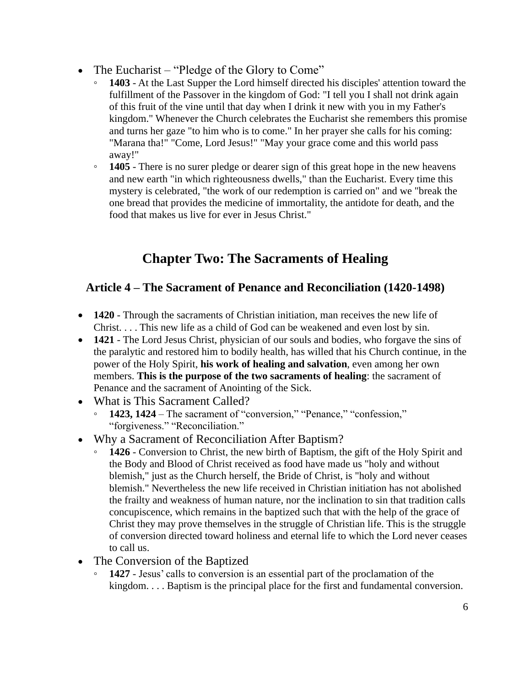- The Eucharist "Pledge of the Glory to Come"
	- **1403** At the Last Supper the Lord himself directed his disciples' attention toward the fulfillment of the Passover in the kingdom of God: "I tell you I shall not drink again of this fruit of the vine until that day when I drink it new with you in my Father's kingdom." Whenever the Church celebrates the Eucharist she remembers this promise and turns her gaze "to him who is to come." In her prayer she calls for his coming: "Marana tha!" "Come, Lord Jesus!" "May your grace come and this world pass away!"
	- **1405** There is no surer pledge or dearer sign of this great hope in the new heavens and new earth "in which righteousness dwells," [than the Eucharist. Every time this](https://www.vatican.va/archive/ENG0015/__P43.HTM#$1O0)  [mystery is celebrated, "the work of our redemption is carried on" and we "break the](https://www.vatican.va/archive/ENG0015/__P43.HTM#$1O0)  [one bread that provides the medicine of immortality, the antidote for death, and the](https://www.vatican.va/archive/ENG0015/__P43.HTM#$1O0)  [food that makes us live for ever in Jesus Christ."](https://www.vatican.va/archive/ENG0015/__P43.HTM#$1O0)

## **Chapter Two: The Sacraments of Healing**

#### **Article 4 – The Sacrament of Penance and Reconciliation (1420-1498)**

- **1420** Through the sacraments of Christian initiation, man receives the new life of Christ. . . . This new life as a child of God can be weakened and even lost by sin.
- **1421** The Lord Jesus Christ, physician of our souls and bodies, who forgave the sins of the paralytic and restored him to bodily health, has willed that his Church continue, in the power of the Holy Spirit, **his work of healing and salvation**, even among her own members. **This is the purpose of the two sacraments of healing**: the sacrament of Penance and the sacrament of Anointing of the Sick.
- What is This Sacrament Called?
	- **1423, 1424** The sacrament of "conversion," "Penance," "confession," "forgiveness." "Reconciliation."
- Why a Sacrament of Reconciliation After Baptism?
	- **1426** Conversion to Christ, the new birth of Baptism, the gift of the Holy Spirit and the Body and Blood of Christ received as food have made us "holy and without blemish," just as the Church herself, the Bride of Christ, is "holy and without blemish." Nevertheless the new life received in Christian initiation has not abolished the frailty and weakness of human nature, nor the inclination to sin that tradition calls concupiscence, which remains in the baptized such that with the help of the grace of Christ they may prove themselves in the struggle of Christian life. This is the struggle of conversion directed toward holiness and eternal life to which the Lord never ceases to call us.
- The Conversion of the Baptized
	- **1427** Jesus' calls to conversion is an essential part of the proclamation of the kingdom. . . . Baptism is the principal place for the first and fundamental conversion.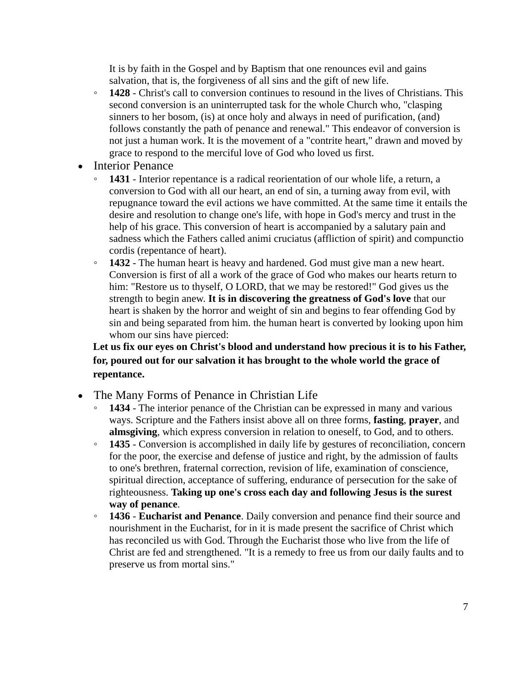It is by faith in the Gospel and by Baptism that one renounces evil and gains salvation, that is, the forgiveness of all sins and the gift of new life.

- **1428** Christ's call to conversion continues to resound in the lives of Christians. This second conversion is an uninterrupted task for the whole Church who, "clasping sinners to her bosom, (is) at once holy and always in need of purification, (and) follows constantly the path of penance and renewal." This endeavor of conversion is not just a human work. It is the movement of a "contrite heart," drawn and moved by grace to respond to the merciful love of God who loved us first.
- Interior Penance
	- **1431** Interior repentance is a radical reorientation of our whole life, a return, a conversion to God with all our heart, an end of sin, a turning away from evil, with repugnance toward the evil actions we have committed. At the same time it entails the desire and resolution to change one's life, with hope in God's mercy and trust in the help of his grace. This conversion of heart is accompanied by a salutary pain and sadness which the Fathers called animi cruciatus (affliction of spirit) and compunctio cordis (repentance of heart).
	- **1432** The human heart is heavy and hardened. God must give man a new heart. Conversion is first of all a work of the grace of God who makes our hearts return to him: "Restore us to thyself, O LORD, that we may be restored!" God gives us the strength to begin anew. **It is in discovering the greatness of God's love** that our heart is shaken by the horror and weight of sin and begins to fear offending God by sin and being separated from him. the human heart is converted by looking upon him whom our sins have pierced:

#### **Let us fix our eyes on Christ's blood and understand how precious it is to his Father, for, poured out for our salvation it has brought to the whole world the grace of repentance.**

- The Many Forms of Penance in Christian Life
	- **1434** The interior penance of the Christian can be expressed in many and various ways. Scripture and the Fathers insist above all on three forms, **fasting**, **prayer**, and **almsgiving**, which express conversion in relation to oneself, to God, and to others.
	- **1435** Conversion is accomplished in daily life by gestures of reconciliation, concern for the poor, the exercise and defense of justice and right, by the admission of faults to one's brethren, fraternal correction, revision of life, examination of conscience, spiritual direction, acceptance of suffering, endurance of persecution for the sake of righteousness. **Taking up one's cross each day and following Jesus is the surest way of penance**.
	- **1436 Eucharist and Penance**. Daily conversion and penance find their source and nourishment in the Eucharist, for in it is made present the sacrifice of Christ which has reconciled us with God. Through the Eucharist those who live from the life of Christ are fed and strengthened. "It is a remedy to free us from our daily faults and to preserve us from mortal sins."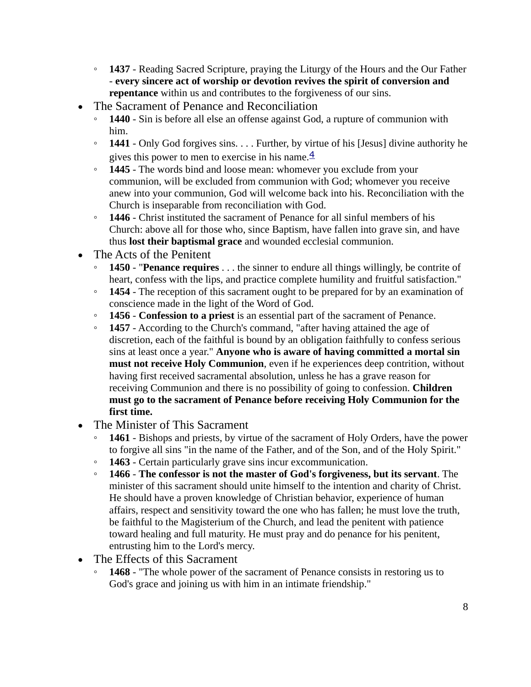- **1437** Reading Sacred Scripture, praying the Liturgy of the Hours and the Our Father - **every sincere act of worship or devotion revives the spirit of conversion and repentance** within us and contributes to the forgiveness of our sins.
- The Sacrament of Penance and Reconciliation
	- **1440** Sin is before all else an offense against God, a rupture of communion with him.
	- **1441** Only God forgives sins. . . . Further, by virtue of his [Jesus] divine authority he gives this power to men to exercise in his name. $\frac{4}{3}$  $\frac{4}{3}$  $\frac{4}{3}$
	- **1445** The words bind and loose mean: whomever you exclude from your communion, will be excluded from communion with God; whomever you receive anew into your communion, God will welcome back into his. Reconciliation with the Church is inseparable from reconciliation with God.
	- **1446** Christ instituted the sacrament of Penance for all sinful members of his Church: above all for those who, since Baptism, have fallen into grave sin, and have thus **lost their baptismal grace** and wounded ecclesial communion.
- The Acts of the Penitent
	- **1450** "**Penance requires** . . . the sinner to endure all things willingly, be contrite of heart, confess with the lips, and practice complete humility and fruitful satisfaction."
	- **1454** The reception of this sacrament ought to be prepared for by an examination of conscience made in the light of the Word of God.
	- **1456 Confession to a priest** is an essential part of the sacrament of Penance.
	- **1457** According to the Church's command, "after having attained the age of discretion, each of the faithful is bound by an obligation faithfully to confess serious sins at least once a year." **Anyone who is aware of having committed a mortal sin must not receive Holy Communion**, even if he experiences deep contrition, without having first received sacramental absolution, unless he has a grave reason for receiving Communion and there is no possibility of going to confession. **Children must go to the sacrament of Penance before receiving Holy Communion for the first time.**
- The Minister of This Sacrament
	- **1461** Bishops and priests, by virtue of the sacrament of Holy Orders, have the power to forgive all sins "in the name of the Father, and of the Son, and of the Holy Spirit."
	- **1463** Certain particularly grave sins incur excommunication.
	- **1466 The confessor is not the master of God's forgiveness, but its servant**. The minister of this sacrament should unite himself to the intention and charity of Christ. He should have a proven knowledge of Christian behavior, experience of human affairs, respect and sensitivity toward the one who has fallen; he must love the truth, be faithful to the Magisterium of the Church, and lead the penitent with patience toward healing and full maturity. He must pray and do penance for his penitent, entrusting him to the Lord's mercy.
- The Effects of this Sacrament
	- **1468** "The whole power of the sacrament of Penance consists in restoring us to God's grace and joining us with him in an intimate friendship."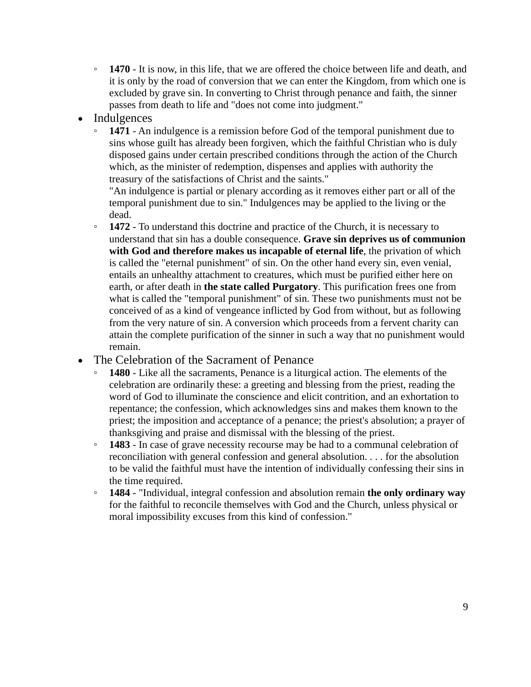- **1470** It is now, in this life, that we are offered the choice between life and death, and it is only by the road of conversion that we can enter the Kingdom, from which one is excluded by grave sin. In converting to Christ through penance and faith, the sinner passes from death to life and "does not come into judgment."
- Indulgences
	- 1471 An indulgence is a remission before God of the temporal punishment due to sins whose guilt has already been forgiven, which the faithful Christian who is duly disposed gains under certain prescribed conditions through the action of the Church which, as the minister of redemption, dispenses and applies with authority the treasury of the satisfactions of Christ and the saints."

"An indulgence is partial or plenary according as it removes either part or all of the temporal punishment due to sin." Indulgences may be applied to the living or the dead.

- **1472** To understand this doctrine and practice of the Church, it is necessary to understand that sin has a double consequence. **Grave sin deprives us of communion with God and therefore makes us incapable of eternal life**, the privation of which is called the "eternal punishment" of sin. On the other hand every sin, even venial, entails an unhealthy attachment to creatures, which must be purified either here on earth, or after death in **the state called Purgatory**. This purification frees one from what is called the "temporal punishment" of sin. These two punishments must not be conceived of as a kind of vengeance inflicted by God from without, but as following from the very nature of sin. A conversion which proceeds from a fervent charity can attain the complete purification of the sinner in such a way that no punishment would remain.
- The Celebration of the Sacrament of Penance
	- **1480** Like all the sacraments, Penance is a liturgical action. The elements of the celebration are ordinarily these: a greeting and blessing from the priest, reading the word of God to illuminate the conscience and elicit contrition, and an exhortation to repentance; the confession, which acknowledges sins and makes them known to the priest; the imposition and acceptance of a penance; the priest's absolution; a prayer of thanksgiving and praise and dismissal with the blessing of the priest.
	- **1483** In case of grave necessity recourse may be had to a communal celebration of reconciliation with general confession and general absolution. . . . for the absolution to be valid the faithful must have the intention of individually confessing their sins in the time required.
	- **1484** "Individual, integral confession and absolution remain **the only ordinary way** for the faithful to reconcile themselves with God and the Church, unless physical or moral impossibility excuses from this kind of confession."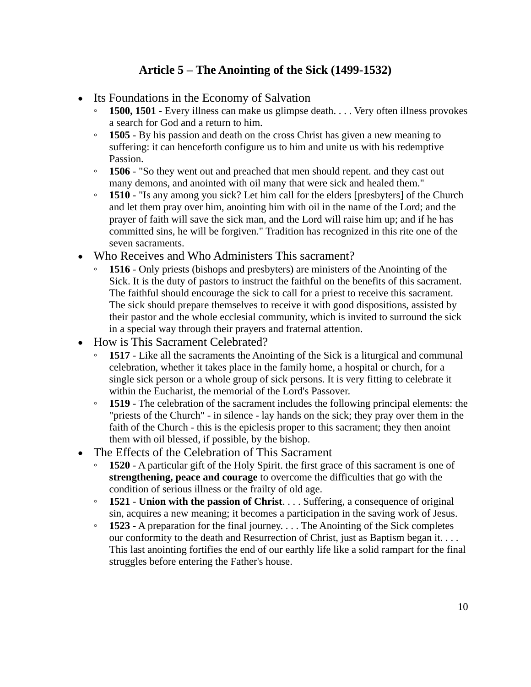#### **Article 5 – The Anointing of the Sick (1499-1532)**

- Its Foundations in the Economy of Salvation
	- **1500, 1501** Every illness can make us glimpse death. . . . Very often illness provokes a search for God and a return to him.
	- **1505** By his passion and death on the cross Christ has given a new meaning to suffering: it can henceforth configure us to him and unite us with his redemptive Passion.
	- **1506** "So they went out and preached that men should repent. and they cast out many demons, and anointed with oil many that were sick and healed them."
	- **1510** "Is any among you sick? Let him call for the elders [presbyters] of the Church and let them pray over him, anointing him with oil in the name of the Lord; and the prayer of faith will save the sick man, and the Lord will raise him up; and if he has committed sins, he will be forgiven." Tradition has recognized in this rite one of the seven sacraments.
- Who Receives and Who Administers This sacrament?
	- **1516** Only priests (bishops and presbyters) are ministers of the Anointing of the Sick. It is the duty of pastors to instruct the faithful on the benefits of this sacrament. The faithful should encourage the sick to call for a priest to receive this sacrament. The sick should prepare themselves to receive it with good dispositions, assisted by their pastor and the whole ecclesial community, which is invited to surround the sick in a special way through their prayers and fraternal attention.
- How is This Sacrament Celebrated?
	- **1517** Like all the sacraments the Anointing of the Sick is a liturgical and communal celebration, whether it takes place in the family home, a hospital or church, for a single sick person or a whole group of sick persons. It is very fitting to celebrate it within the Eucharist, the memorial of the Lord's Passover.
	- **1519** The celebration of the sacrament includes the following principal elements: the "priests of the Church" - in silence - lay hands on the sick; they pray over them in the faith of the Church - this is the epiclesis proper to this sacrament; they then anoint them with oil blessed, if possible, by the bishop.
- The Effects of the Celebration of This Sacrament
	- 1520 A particular gift of the Holy Spirit. the first grace of this sacrament is one of **strengthening, peace and courage** to overcome the difficulties that go with the condition of serious illness or the frailty of old age.
	- **1521 Union with the passion of Christ**. . . . Suffering, a consequence of original sin, acquires a new meaning; it becomes a participation in the saving work of Jesus.
	- **1523** A preparation for the final journey. . . . The Anointing of the Sick completes our conformity to the death and Resurrection of Christ, just as Baptism began it. . . . This last anointing fortifies the end of our earthly life like a solid rampart for the final struggles before entering the Father's house.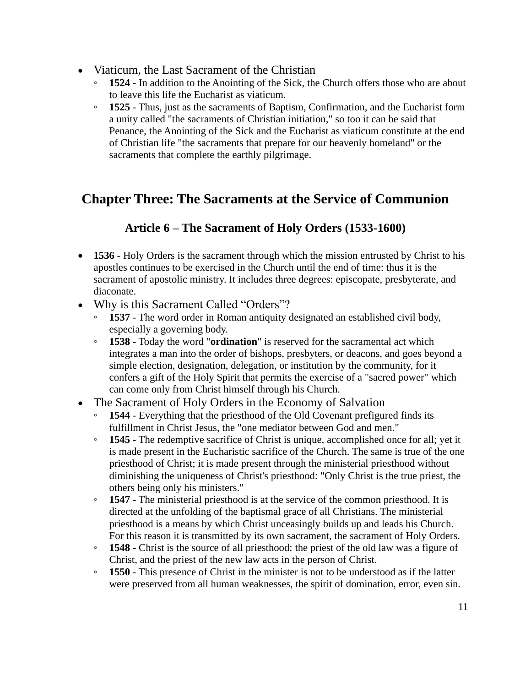- Viaticum, the Last Sacrament of the Christian
	- **1524** In addition to the Anointing of the Sick, the Church offers those who are about to leave this life the Eucharist as viaticum.
	- **1525** Thus, just as the sacraments of Baptism, Confirmation, and the Eucharist form a unity called "the sacraments of Christian initiation," so too it can be said that Penance, the Anointing of the Sick and the Eucharist as viaticum constitute at the end of Christian life "the sacraments that prepare for our heavenly homeland" or the sacraments that complete the earthly pilgrimage.

## **Chapter Three: The Sacraments at the Service of Communion**

#### **Article 6 – The Sacrament of Holy Orders (1533-1600)**

- **1536** Holy Orders is the sacrament through which the mission entrusted by Christ to his apostles continues to be exercised in the Church until the end of time: thus it is the sacrament of apostolic ministry. It includes three degrees: episcopate, presbyterate, and diaconate.
- Why is this Sacrament Called "Orders"?
	- **1537** The word order in Roman antiquity designated an established civil body, especially a governing body.
	- **1538** Today the word "**ordination**" is reserved for the sacramental act which integrates a man into the order of bishops, presbyters, or deacons, and goes beyond a simple election, designation, delegation, or institution by the community, for it confers a gift of the Holy Spirit that permits the exercise of a "sacred power" which can come only from Christ himself through his Church.
- The Sacrament of Holy Orders in the Economy of Salvation
	- **1544** Everything that the priesthood of the Old Covenant prefigured finds its fulfillment in Christ Jesus, the "one mediator between God and men."
	- **1545** The redemptive sacrifice of Christ is unique, accomplished once for all; yet it is made present in the Eucharistic sacrifice of the Church. The same is true of the one priesthood of Christ; it is made present through the ministerial priesthood without diminishing the uniqueness of Christ's priesthood: "Only Christ is the true priest, the others being only his ministers."
	- **1547** The ministerial priesthood is at the service of the common priesthood. It is directed at the unfolding of the baptismal grace of all Christians. The ministerial priesthood is a means by which Christ unceasingly builds up and leads his Church. For this reason it is transmitted by its own sacrament, the sacrament of Holy Orders.
	- **1548** Christ is the source of all priesthood: the priest of the old law was a figure of Christ, and the priest of the new law acts in the person of Christ.
	- **1550** This presence of Christ in the minister is not to be understood as if the latter were preserved from all human weaknesses, the spirit of domination, error, even sin.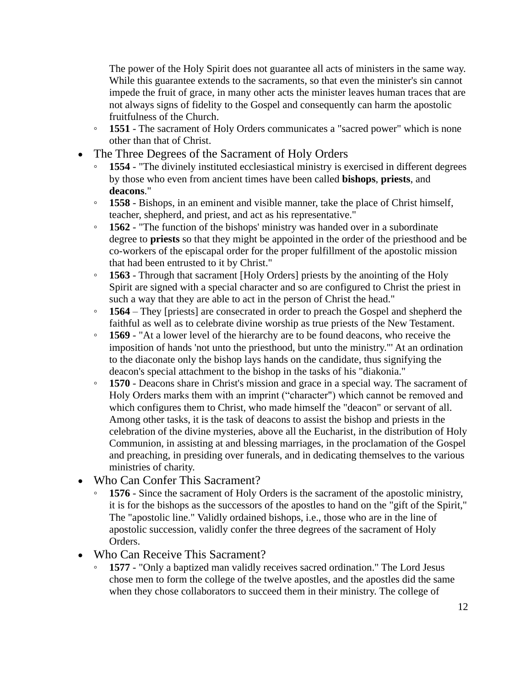The power of the Holy Spirit does not guarantee all acts of ministers in the same way. While this guarantee extends to the sacraments, so that even the minister's sin cannot impede the fruit of grace, in many other acts the minister leaves human traces that are not always signs of fidelity to the Gospel and consequently can harm the apostolic fruitfulness of the Church.

- **1551** The sacrament of Holy Orders communicates a "sacred power" which is none other than that of Christ.
- The Three Degrees of the Sacrament of Holy Orders
	- **1554** "The divinely instituted ecclesiastical ministry is exercised in different degrees by those who even from ancient times have been called **bishops**, **priests**, and **deacons**."
	- **1558** Bishops, in an eminent and visible manner, take the place of Christ himself, teacher, shepherd, and priest, and act as his representative."
	- **1562** "The function of the bishops' ministry was handed over in a subordinate degree to **priests** so that they might be appointed in the order of the priesthood and be co-workers of the episcapal order for the proper fulfillment of the apostolic mission that had been entrusted to it by Christ."
	- **1563** Through that sacrament [Holy Orders] priests by the anointing of the Holy Spirit are signed with a special character and so are configured to Christ the priest in such a way that they are able to act in the person of Christ the head."
	- **1564** They [priests] are consecrated in order to preach the Gospel and shepherd the faithful as well as to celebrate divine worship as true priests of the New Testament.
	- **1569** "At a lower level of the hierarchy are to be found deacons, who receive the imposition of hands 'not unto the priesthood, but unto the ministry."' At an ordination to the diaconate only the bishop lays hands on the candidate, thus signifying the deacon's special attachment to the bishop in the tasks of his "diakonia."
	- **1570** Deacons share in Christ's mission and grace in a special way. The sacrament of Holy Orders marks them with an imprint ("character") which cannot be removed and which configures them to Christ, who made himself the "deacon" or servant of all. Among other tasks, it is the task of deacons to assist the bishop and priests in the celebration of the divine mysteries, above all the Eucharist, in the distribution of Holy Communion, in assisting at and blessing marriages, in the proclamation of the Gospel and preaching, in presiding over funerals, and in dedicating themselves to the various ministries of charity.
- Who Can Confer This Sacrament?
	- **1576** Since the sacrament of Holy Orders is the sacrament of the apostolic ministry, it is for the bishops as the successors of the apostles to hand on the "gift of the Spirit," The "apostolic line." Validly ordained bishops, i.e., those who are in the line of apostolic succession, validly confer the three degrees of the sacrament of Holy Orders.
- Who Can Receive This Sacrament?
	- **1577** "Only a baptized man validly receives sacred ordination." The Lord Jesus chose men to form the college of the twelve apostles, and the apostles did the same when they chose collaborators to succeed them in their ministry. The college of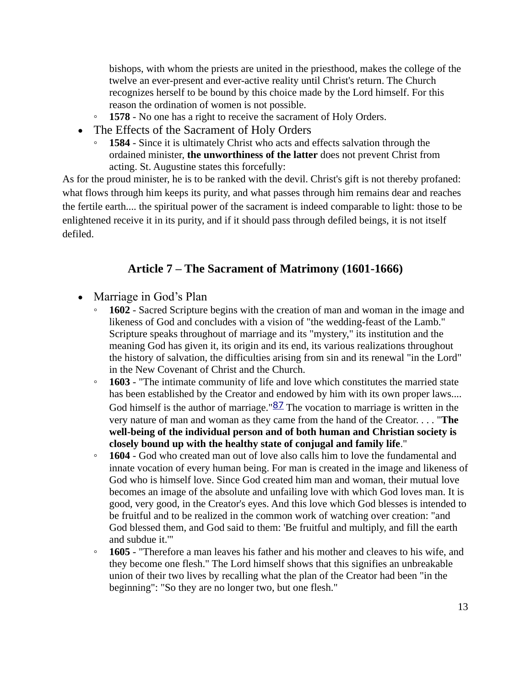bishops, with whom the priests are united in the priesthood, makes the college of the twelve an ever-present and ever-active reality until Christ's return. The Church recognizes herself to be bound by this choice made by the Lord himself. For this reason the ordination of women is not possible.

- **1578** No one has a right to receive the sacrament of Holy Orders.
- The Effects of the Sacrament of Holy Orders
	- **1584** Since it is ultimately Christ who acts and effects salvation through the ordained minister, **the unworthiness of the latter** does not prevent Christ from acting. St. Augustine states this forcefully:

As for the proud minister, he is to be ranked with the devil. Christ's gift is not thereby profaned: what flows through him keeps its purity, and what passes through him remains dear and reaches the fertile earth.... the spiritual power of the sacrament is indeed comparable to light: those to be enlightened receive it in its purity, and if it should pass through defiled beings, it is not itself defiled.

#### **Article 7 – The Sacrament of Matrimony (1601-1666)**

- Marriage in God's Plan
	- **1602** Sacred Scripture begins with the creation of man and woman in the image and likeness of God and concludes with a vision of "the wedding-feast of the Lamb." Scripture speaks throughout of marriage and its "mystery," its institution and the meaning God has given it, its origin and its end, its various realizations throughout the history of salvation, the difficulties arising from sin and its renewal "in the Lord" in the New Covenant of Christ and the Church.
	- **1603** "The intimate community of life and love which constitutes the married state has been established by the Creator and endowed by him with its own proper laws.... God himself is the author of marriage." $87$  The vocation to marriage is written in the very nature of man and woman as they came from the hand of the Creator. . . . "**The well-being of the individual person and of both human and Christian society is closely bound up with the healthy state of conjugal and family life**."
	- **1604** God who created man out of love also calls him to love the fundamental and innate vocation of every human being. For man is created in the image and likeness of God who is himself love. Since God created him man and woman, their mutual love becomes an image of the absolute and unfailing love with which God loves man. It is good, very good, in the Creator's eyes. And this love which God blesses is intended to be fruitful and to be realized in the common work of watching over creation: "and God blessed them, and God said to them: 'Be fruitful and multiply, and fill the earth and subdue it.'"
	- **1605** "Therefore a man leaves his father and his mother and cleaves to his wife, and they become one flesh." The Lord himself shows that this signifies an unbreakable union of their two lives by recalling what the plan of the Creator had been "in the beginning": "So they are no longer two, but one flesh."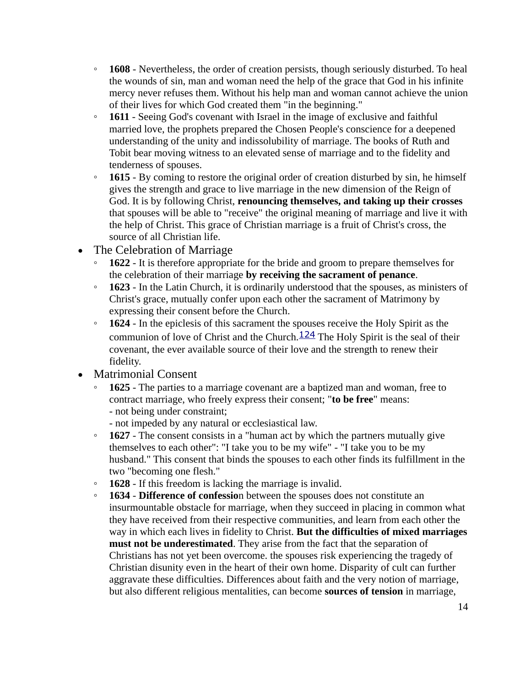- **1608** Nevertheless, the order of creation persists, though seriously disturbed. To heal the wounds of sin, man and woman need the help of the grace that God in his infinite mercy never refuses them. Without his help man and woman cannot achieve the union of their lives for which God created them "in the beginning."
- **1611** Seeing God's covenant with Israel in the image of exclusive and faithful married love, the prophets prepared the Chosen People's conscience for a deepened understanding of the unity and indissolubility of marriage. The books of Ruth and Tobit bear moving witness to an elevated sense of marriage and to the fidelity and tenderness of spouses.
- **1615** By coming to restore the original order of creation disturbed by sin, he himself gives the strength and grace to live marriage in the new dimension of the Reign of God. It is by following Christ, **renouncing themselves, and taking up their crosses** that spouses will be able to "receive" the original meaning of marriage and live it with the help of Christ. This grace of Christian marriage is a fruit of Christ's cross, the source of all Christian life.
- The Celebration of Marriage
	- **1622** It is therefore appropriate for the bride and groom to prepare themselves for the celebration of their marriage **by receiving the sacrament of penance**.
	- **1623** In the Latin Church, it is ordinarily understood that the spouses, as ministers of Christ's grace, mutually confer upon each other the sacrament of Matrimony by expressing their consent before the Church.
	- **1624** In the epiclesis of this sacrament the spouses receive the Holy Spirit as the communion of love of Christ and the Church.[124](https://www.vatican.va/archive/ENG0015/__P52.HTM#$1VD) The Holy Spirit is the seal of their covenant, the ever available source of their love and the strength to renew their fidelity.
- Matrimonial Consent
	- **1625** The parties to a marriage covenant are a baptized man and woman, free to contract marriage, who freely express their consent; "**to be free**" means: - not being under constraint;
		- not impeded by any natural or ecclesiastical law.
	- **1627** The consent consists in a "human act by which the partners mutually give themselves to each other": "I take you to be my wife" - "I take you to be my husband." This consent that binds the spouses to each other finds its fulfillment in the two "becoming one flesh."
	- **1628** If this freedom is lacking the marriage is invalid.
	- **1634 Difference of confessio**n between the spouses does not constitute an insurmountable obstacle for marriage, when they succeed in placing in common what they have received from their respective communities, and learn from each other the way in which each lives in fidelity to Christ. **But the difficulties of mixed marriages must not be underestimated**. They arise from the fact that the separation of Christians has not yet been overcome. the spouses risk experiencing the tragedy of Christian disunity even in the heart of their own home. Disparity of cult can further aggravate these difficulties. Differences about faith and the very notion of marriage, but also different religious mentalities, can become **sources of tension** in marriage,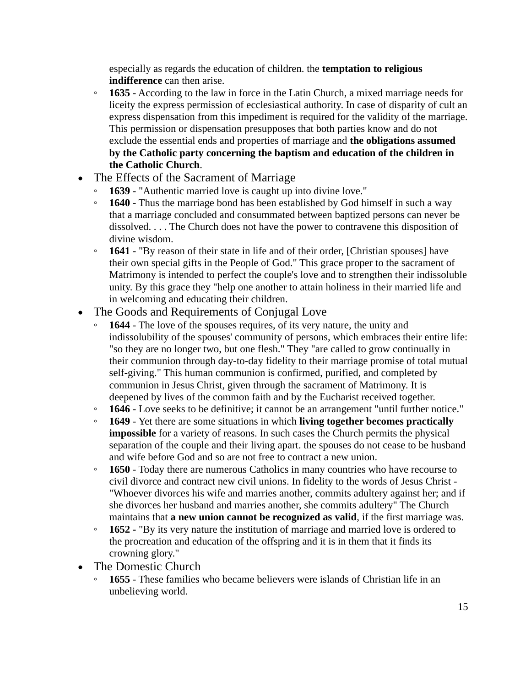especially as regards the education of children. the **temptation to religious indifference** can then arise.

- **1635** According to the law in force in the Latin Church, a mixed marriage needs for liceity the express permission of ecclesiastical authority. In case of disparity of cult an express dispensation from this impediment is required for the validity of the marriage. This permission or dispensation presupposes that both parties know and do not exclude the essential ends and properties of marriage and **the obligations assumed by the Catholic party concerning the baptism and education of the children in the Catholic Church**.
- The Effects of the Sacrament of Marriage
	- **1639** "Authentic married love is caught up into divine love."
	- **1640** Thus the marriage bond has been established by God himself in such a way that a marriage concluded and consummated between baptized persons can never be dissolved. . . . The Church does not have the power to contravene this disposition of divine wisdom.
	- **1641** "By reason of their state in life and of their order, [Christian spouses] have their own special gifts in the People of God." This grace proper to the sacrament of Matrimony is intended to perfect the couple's love and to strengthen their indissoluble unity. By this grace they "help one another to attain holiness in their married life and in welcoming and educating their children.

#### • The Goods and Requirements of Conjugal Love

- **1644** The love of the spouses requires, of its very nature, the unity and indissolubility of the spouses' community of persons, which embraces their entire life: "so they are no longer two, but one flesh." They "are called to grow continually in their communion through day-to-day fidelity to their marriage promise of total mutual self-giving." This human communion is confirmed, purified, and completed by communion in Jesus Christ, given through the sacrament of Matrimony. It is deepened by lives of the common faith and by the Eucharist received together.
- **1646** Love seeks to be definitive; it cannot be an arrangement "until further notice."
- **1649** Yet there are some situations in which **living together becomes practically impossible** for a variety of reasons. In such cases the Church permits the physical separation of the couple and their living apart. the spouses do not cease to be husband and wife before God and so are not free to contract a new union.
- **1650** Today there are numerous Catholics in many countries who have recourse to civil divorce and contract new civil unions. In fidelity to the words of Jesus Christ - "Whoever divorces his wife and marries another, commits adultery against her; and if she divorces her husband and marries another, she commits adultery" The Church maintains that **a new union cannot be recognized as valid**, if the first marriage was.
- **1652 -** "By its very nature the institution of marriage and married love is ordered to the procreation and education of the offspring and it is in them that it finds its crowning glory."
- The Domestic Church
	- **1655** These families who became believers were islands of Christian life in an unbelieving world.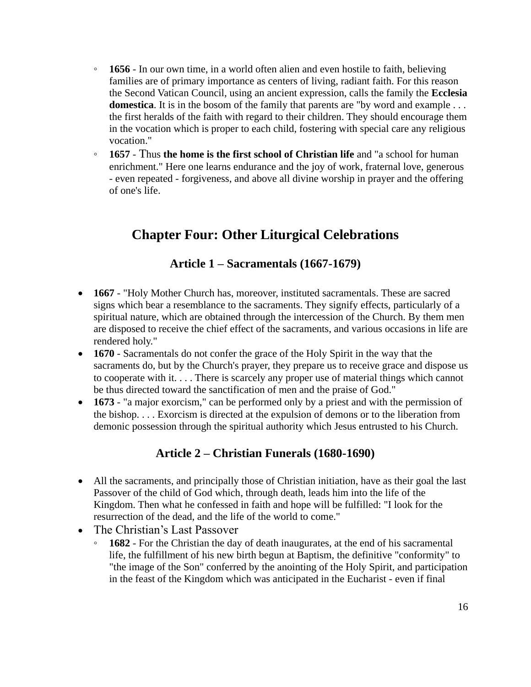- **1656** In our own time, in a world often alien and even hostile to faith, believing families are of primary importance as centers of living, radiant faith. For this reason the Second Vatican Council, using an ancient expression, calls the family the **Ecclesia domestica**. It is in the bosom of the family that parents are "by word and example . . . the first heralds of the faith with regard to their children. They should encourage them in the vocation which is proper to each child, fostering with special care any religious vocation."
- **1657** Thus **the home is the first school of Christian life** and "a school for human enrichment." Here one learns endurance and the joy of work, fraternal love, generous - even repeated - forgiveness, and above all divine worship in prayer and the offering of one's life.

## **Chapter Four: Other Liturgical Celebrations**

#### **Article 1 – Sacramentals (1667-1679)**

- **1667** "Holy Mother Church has, moreover, instituted sacramentals. These are sacred signs which bear a resemblance to the sacraments. They signify effects, particularly of a spiritual nature, which are obtained through the intercession of the Church. By them men are disposed to receive the chief effect of the sacraments, and various occasions in life are rendered holy."
- **1670** Sacramentals do not confer the grace of the Holy Spirit in the way that the sacraments do, but by the Church's prayer, they prepare us to receive grace and dispose us to cooperate with it. . . . There is scarcely any proper use of material things which cannot be thus directed toward the sanctification of men and the praise of God."
- **1673** "a major exorcism," can be performed only by a priest and with the permission of the bishop. . . . Exorcism is directed at the expulsion of demons or to the liberation from demonic possession through the spiritual authority which Jesus entrusted to his Church.

#### **Article 2 – Christian Funerals (1680-1690)**

- All the sacraments, and principally those of Christian initiation, have as their goal the last Passover of the child of God which, through death, leads him into the life of the Kingdom. Then what he confessed in faith and hope will be fulfilled: "I look for the resurrection of the dead, and the life of the world to come."
- The Christian's Last Passover
	- **1682** For the Christian the day of death inaugurates, at the end of his sacramental life, the fulfillment of his new birth begun at Baptism, the definitive "conformity" to "the image of the Son" conferred by the anointing of the Holy Spirit, and participation in the feast of the Kingdom which was anticipated in the Eucharist - even if final